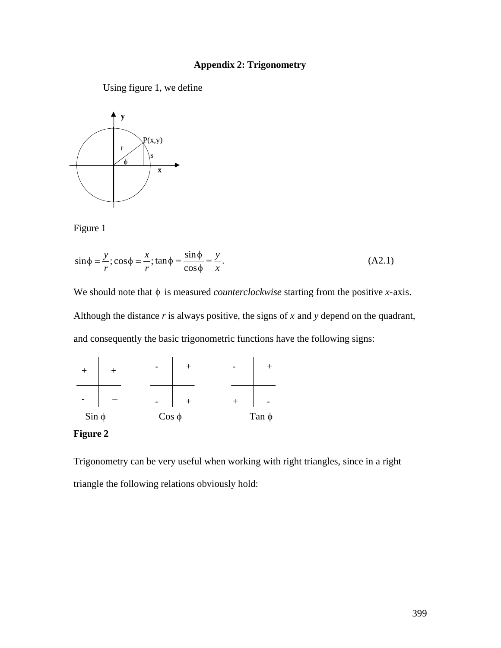### **Appendix 2: Trigonometry**

Using figure 1, we define



Figure 1

$$
\sin \phi = \frac{y}{r}; \cos \phi = \frac{x}{r}; \tan \phi = \frac{\sin \phi}{\cos \phi} = \frac{y}{x}.
$$
 (A2.1)

Although the distance  $r$  is always positive, the signs of  $x$  and  $y$  depend on the quadrant, We should note that  $\phi$  is measured *counterclockwise* starting from the positive *x*-axis. and consequently the basic trigonometric functions have the following signs:



#### **Figure 2**

Trigonometry can be very useful when working with right triangles, since in a right triangle the following relations obviously hold: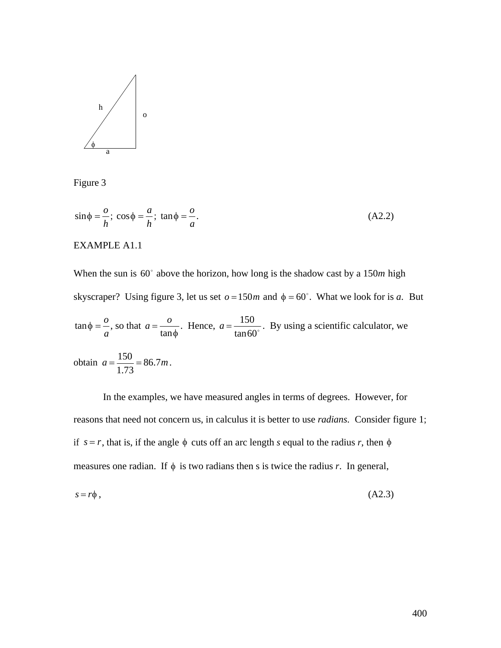

Figure 3

$$
\sin \phi = -\frac{a}{h}; \cos \phi = -\frac{a}{h}; \tan \phi = -\frac{a}{a}.
$$
 (A2.2)

#### EXAMPLE A1.1

When the sun is  $60^\circ$  above the horizon, how long is the shadow cast by a 150*m* high skyscraper? Using figure 3, let us set  $o = 150m$  and  $\phi = 60^\circ$ . What we look for is *a*. But  $tan 60$  $\tan \phi = \frac{\rho}{\rho}$ , so that *a* , so that  $a = \frac{0}{a}$ . Hence  $\left| \cdot \right|$ tan*f*  $A = \frac{150}{150}$ . By u  $\frac{150}{\tan 60^\circ}$ . By using a scientific calculator, we obtain  $a = \frac{150}{1.73} = 86.7m$ .

In the examples, we have measured angles in terms of degrees. However, for reasons that need not concern us, in calculus it is better to use *radians*. Consider figure 1; if  $s = r$ , that is, if the angle  $\phi$  cuts off an arc length *s* equal to the radius *r*, then  $\phi$ measures one radian. If  $\phi$  is two radians then s is twice the radius *r*. In general,

$$
s = r\phi \tag{A2.3}
$$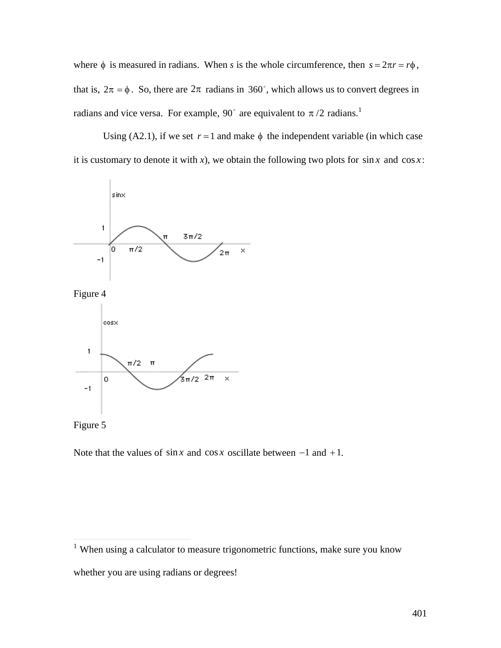where  $\phi$  is measured in radians. When *s* is the whole circumference, then  $s = 2\pi r = r\phi$ ,  $\mathbf{r}$ that is,  $2\pi = \phi$ . So, there are  $2\pi$  radians in 360°, which allows us to convert degrees in radians and vice versa. For example, 90<sup>°</sup> are equivalent to  $\pi/2$  radians.<sup>1</sup>

 $\mathbf{r}$ it is customary to denote it with *x*), we obtain the following two plots for  $\sin x$  and  $\cos x$ : Using (A2.1), if we set  $r = 1$  and make  $\phi$  the independent variable (in which case









Note that the values of  $\sin x$  and  $\cos x$  oscillate between  $-1$  and  $+1$ .

<sup>&</sup>lt;sup>1</sup> When using a calculator to measure trigonometric functions, make sure you know whether you are using radians or degrees!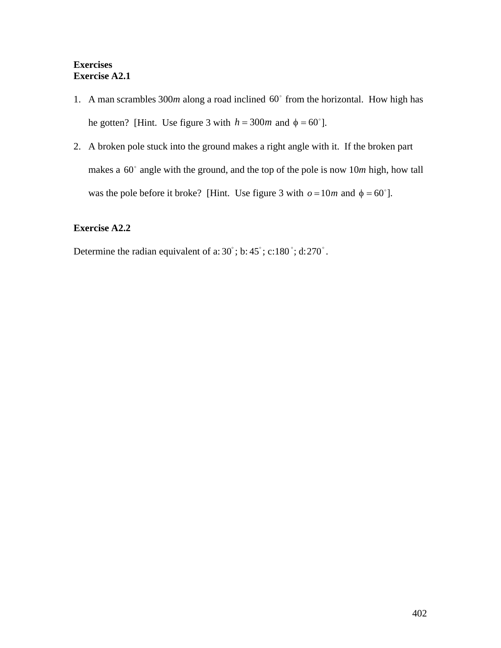### **Exercises Exercise A2.1**

- 1. A man scrambles  $300m$  along a road inclined  $60^\circ$  from the horizontal. How high has he gotten? [Hint. Use figure 3 with  $h = 300m$  and  $\phi = 60^{\circ}$ ].
- †<br>∤ † 1900 makes a  $60^\circ$  angle with the ground, and the top of the pole is now  $10m$  high, how tall 2. A broken pole stuck into the ground makes a right angle with it. If the broken part was the pole before it broke? [Hint. Use figure 3 with  $o = 10m$  and  $\phi = 60^{\circ}$ ].

### **Exercise A2.2**

Determine the radian equivalent of a:  $30^\circ$ ; b:  $45^\circ$ ; c: 180 $^\circ$ ; d: 270 $^\circ$ .